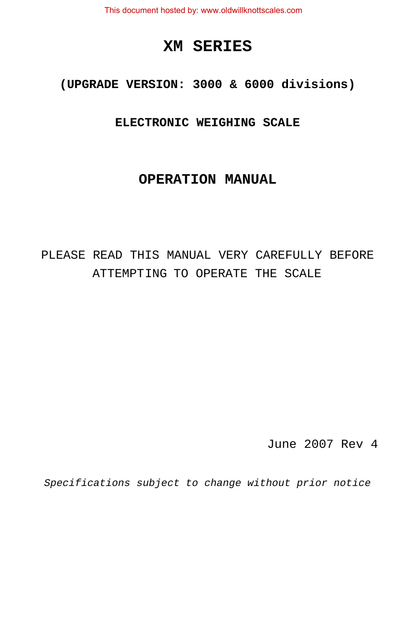This document hosted by: www.oldwillknottscales.com

# **XM SERIES**

**(UPGRADE VERSION: 3000 & 6000 divisions)**

**ELECTRONIC WEIGHING SCALE**

# **OPERATION MANUAL**

# PLEASE READ THIS MANUAL VERY CAREFULLY BEFORE ATTEMPTING TO OPERATE THE SCALE

June 2007 Rev 4

*Specifications subject to change without prior notice*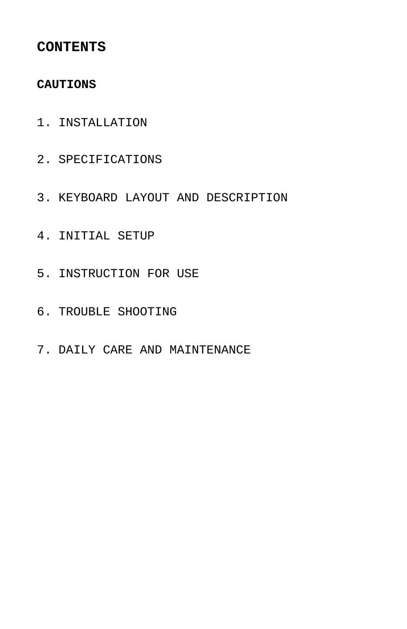## **CONTENTS**

## **CAUTIONS**

- 1. INSTALLATION
- 2. SPECIFICATIONS
- 3. KEYBOARD LAYOUT AND DESCRIPTION
- 4. INITIAL SETUP
- 5. INSTRUCTION FOR USE
- 6. TROUBLE SHOOTING
- 7. DAILY CARE AND MAINTENANCE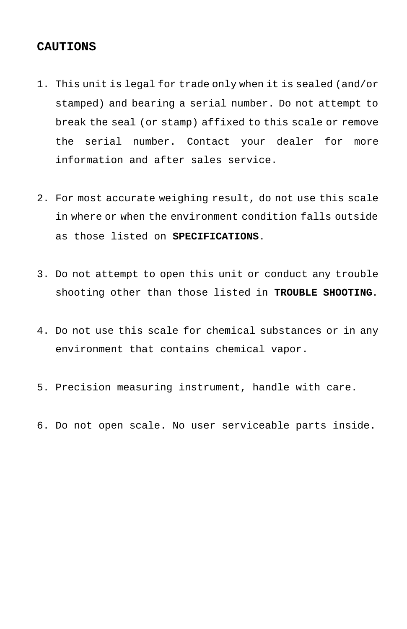## **CAUTIONS**

- 1. This unit is legal for trade only when it is sealed (and/or stamped) and bearing a serial number. Do not attempt to break the seal (or stamp) affixed to this scale or remove the serial number. Contact your dealer for more information and after sales service.
- 2. For most accurate weighing result, do not use this scale in where or when the environment condition falls outside as those listed on **SPECIFICATIONS**.
- 3. Do not attempt to open this unit or conduct any trouble shooting other than those listed in **TROUBLE SHOOTING**.
- 4. Do not use this scale for chemical substances or in any environment that contains chemical vapor.
- 5. Precision measuring instrument, handle with care.
- 6. Do not open scale. No user serviceable parts inside.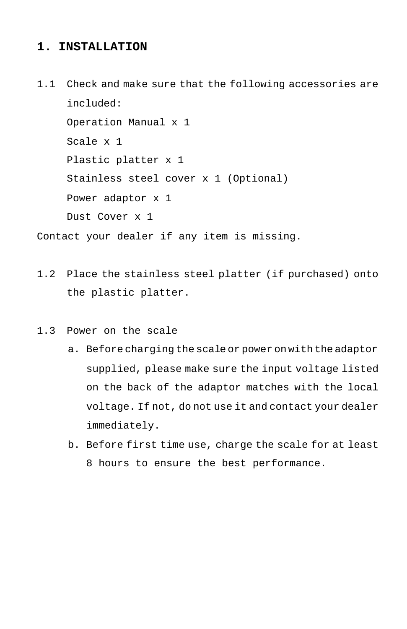## **1. INSTALLATION**

1.1 Check and make sure that the following accessories are included: Operation Manual x 1 Scale x 1 Plastic platter x 1 Stainless steel cover x 1 (Optional) Power adaptor x 1 Dust Cover x 1

Contact your dealer if any item is missing.

- 1.2 Place the stainless steel platter (if purchased) onto the plastic platter.
- 1.3 Power on the scale
	- a. Before charging the scale or power on with the adaptor supplied, please make sure the input voltage listed on the back of the adaptor matches with the local voltage. If not, do not use it and contact your dealer immediately.
	- b. Before first time use, charge the scale for at least 8 hours to ensure the best performance.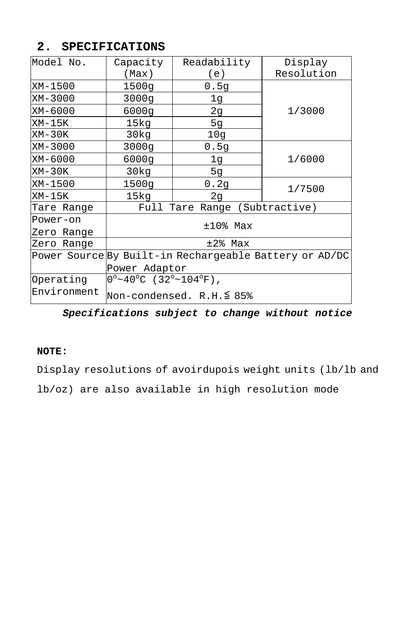## **2. SPECIFICATIONS**

| Model No.                                              | Capacity                         | Readability | Display    |  |
|--------------------------------------------------------|----------------------------------|-------------|------------|--|
|                                                        | (Max)                            | (e)         | Resolution |  |
| XM-1500                                                | 1500q                            | 0.5q        |            |  |
| XM-3000                                                | 3000q                            | 1q          |            |  |
| XM-6000                                                | 6000q                            | 2g          | 1/3000     |  |
| XM-15K                                                 | 15kg                             | 5q          |            |  |
| $XM-30K$                                               | 30kg                             | 10g         |            |  |
| XM-3000                                                | 3000g                            | 0.5q        |            |  |
| XM-6000                                                | 6000g                            | 1g          | 1/6000     |  |
| XM-30K                                                 | 30kq                             | 5g          |            |  |
| XM-1500                                                | 1500q                            | 0.2g        | 1/7500     |  |
| XM-15K                                                 | 15kg                             | 2q          |            |  |
| Tare Range                                             | Tare Range (Subtractive)<br>Full |             |            |  |
| Power-on                                               |                                  | $±10$ % Max |            |  |
| Zero Range                                             |                                  |             |            |  |
| Zero Range                                             | $±2$ % Max                       |             |            |  |
| Power Source By Built-in Rechargeable Battery or AD/DC |                                  |             |            |  |
|                                                        | Power Adaptor                    |             |            |  |
| Operating                                              | $0^{\circ}$ ~40°C (32°~104°F),   |             |            |  |
| Environment                                            | Non-condensed. R.H.≦ 85%         |             |            |  |

# *Specifications subject to change without notice*

## **NOTE:**

Display resolutions of avoirdupois weight units (lb/lb and

lb/oz) are also available in high resolution mode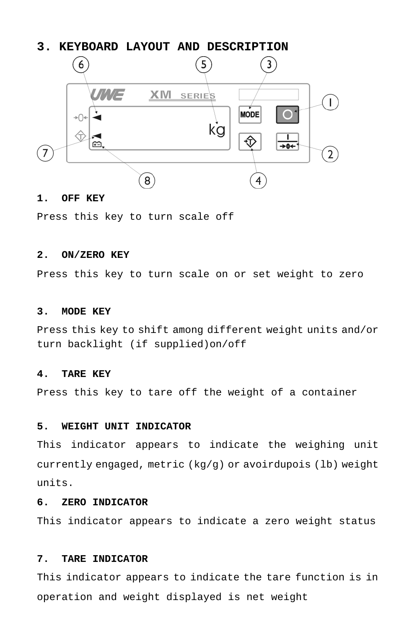## **3. KEYBOARD LAYOUT AND DESCRIPTION**



### **1. OFF KEY**

Press this key to turn scale off

## **2. ON/ZERO KEY**

Press this key to turn scale on or set weight to zero

#### **3. MODE KEY**

Press this key to shift among different weight units and/or turn backlight (if supplied)on/off

#### **4. TARE KEY**

Press this key to tare off the weight of a container

#### **5. WEIGHT UNIT INDICATOR**

This indicator appears to indicate the weighing unit currently engaged, metric (kg/g) or avoirdupois (lb) weight units.

## **6. ZERO INDICATOR**

This indicator appears to indicate a zero weight status

#### **7. TARE INDICATOR**

This indicator appears to indicate the tare function is in operation and weight displayed is net weight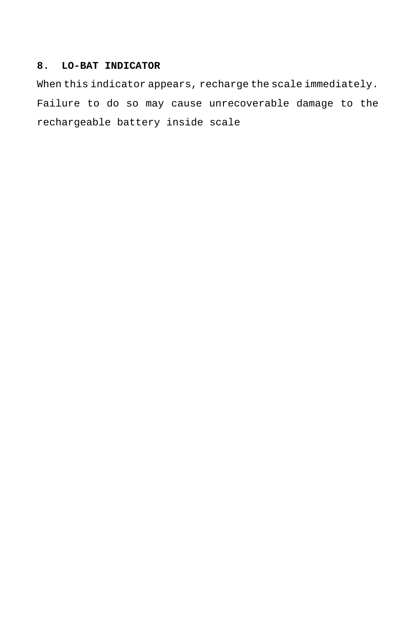## **8. LO-BAT INDICATOR**

When this indicator appears, recharge the scale immediately. Failure to do so may cause unrecoverable damage to the rechargeable battery inside scale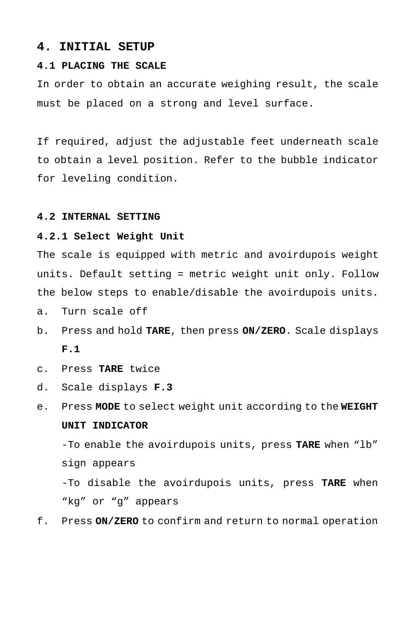#### **4. INITIAL SETUP**

## **4.1 PLACING THE SCALE**

In order to obtain an accurate weighing result, the scale must be placed on a strong and level surface.

If required, adjust the adjustable feet underneath scale to obtain a level position. Refer to the bubble indicator for leveling condition.

#### **4.2 INTERNAL SETTING**

#### **4.2.1 Select Weight Unit**

The scale is equipped with metric and avoirdupois weight units. Default setting = metric weight unit only. Follow the below steps to enable/disable the avoirdupois units.

a. Turn scale off

- b. Press and hold **TARE**, then press **ON/ZERO**. Scale displays **F.1**
- c. Press **TARE** twice
- d. Scale displays **F.3**
- e. Press **MODE** to select weight unit according to the **WEIGHT UNIT INDICATOR**

-To enable the avoirdupois units, press **TARE** when "lb" sign appears

-To disable the avoirdupois units, press **TARE** when "kg" or "g" appears

f. Press **ON/ZERO** to confirm and return to normal operation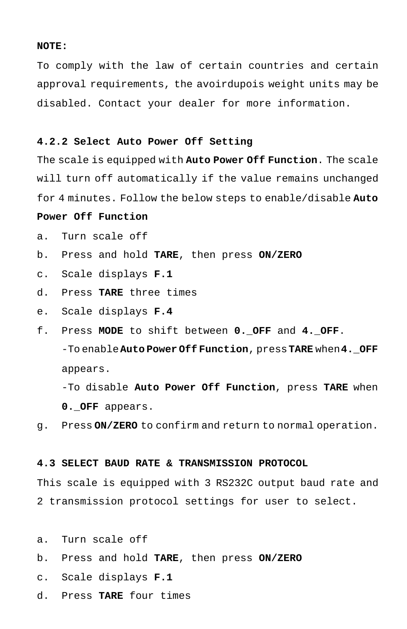#### **NOTE:**

To comply with the law of certain countries and certain approval requirements, the avoirdupois weight units may be disabled. Contact your dealer for more information.

## **4.2.2 Select Auto Power Off Setting**

The scale is equipped with **Auto Power Off Function**. The scale will turn off automatically if the value remains unchanged for 4 minutes. Follow the below steps to enable/disable **Auto**

#### **Power Off Function**

- a. Turn scale off
- b. Press and hold **TARE**, then press **ON/ZERO**
- c. Scale displays **F.1**
- d. Press **TARE** three times
- e. Scale displays **F.4**
- f. Press **MODE** to shift between **0.\_OFF** and **4.\_OFF**. -To enable**Auto Power Off Function**, press**TARE** when**4.\_OFF** appears.

-To disable **Auto Power Off Function**, press **TARE** when **0.\_OFF** appears.

g. Press **ON/ZERO** to confirm and return to normal operation.

## **4.3 SELECT BAUD RATE & TRANSMISSION PROTOCOL**

This scale is equipped with 3 RS232C output baud rate and 2 transmission protocol settings for user to select.

- a. Turn scale off
- b. Press and hold **TARE**, then press **ON/ZERO**
- c. Scale displays **F.1**
- d. Press **TARE** four times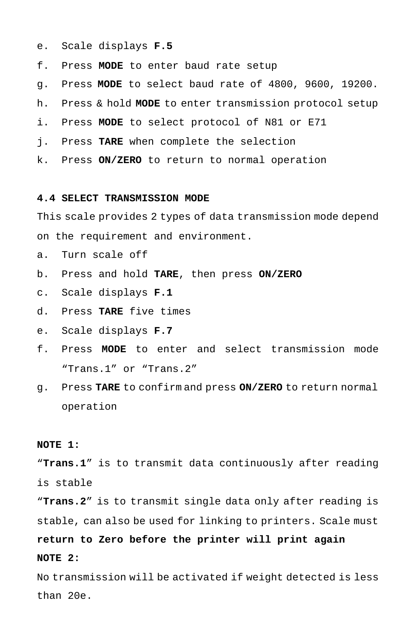- e. Scale displays **F.5**
- f. Press **MODE** to enter baud rate setup
- g. Press **MODE** to select baud rate of 4800, 9600, 19200.
- h. Press & hold **MODE** to enter transmission protocol setup
- i. Press **MODE** to select protocol of N81 or E71
- j. Press **TARE** when complete the selection
- k. Press **ON/ZERO** to return to normal operation

#### **4.4 SELECT TRANSMISSION MODE**

This scale provides 2 types of data transmission mode depend

on the requirement and environment.

- a. Turn scale off
- b. Press and hold **TARE**, then press **ON/ZERO**
- c. Scale displays **F.1**
- d. Press **TARE** five times
- e. Scale displays **F.7**
- f. Press **MODE** to enter and select transmission mode "Trans.1" or "Trans.2"
- g. Press **TARE** to confirm and press **ON/ZERO** to return normal operation

## **NOTE 1:**

"**Trans.1**" is to transmit data continuously after reading is stable

"**Trans.2**" is to transmit single data only after reading is stable, can also be used for linking to printers. Scale must

# **return to Zero before the printer will print again NOTE 2:**

No transmission will be activated if weight detected is less than 20e.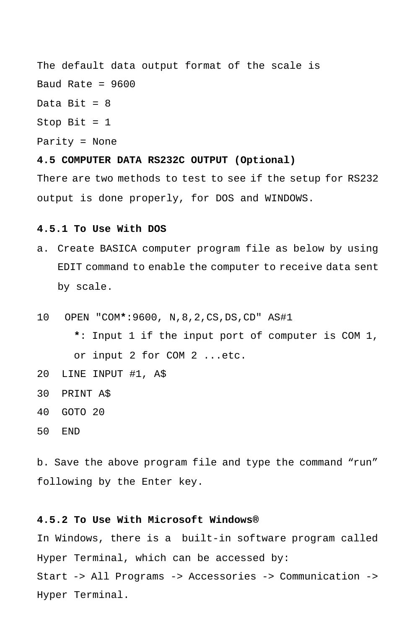The default data output format of the scale is Baud Rate =  $9600$ Data Bit =  $8$ Stop Bit  $= 1$ Parity = None **4.5 COMPUTER DATA RS232C OUTPUT (Optional)** There are two methods to test to see if the setup for RS232 output is done properly, for DOS and WINDOWS.

#### **4.5.1 To Use With DOS**

- a. Create BASICA computer program file as below by using EDIT command to enable the computer to receive data sent by scale.
- 10 OPEN "COM**\***:9600, N,8,2,CS,DS,CD" AS#1
	- **\***: Input 1 if the input port of computer is COM 1, or input 2 for COM 2 ...etc.
- 20 LINE INPUT #1, A\$
- 30 PRINT A\$
- 40 GOTO 20
- 50 END

b. Save the above program file and type the command "run" following by the Enter key.

## **4.5.2 To Use With Microsoft Windows®**

In Windows, there is a built-in software program called Hyper Terminal, which can be accessed by: Start -> All Programs -> Accessories -> Communication -> Hyper Terminal.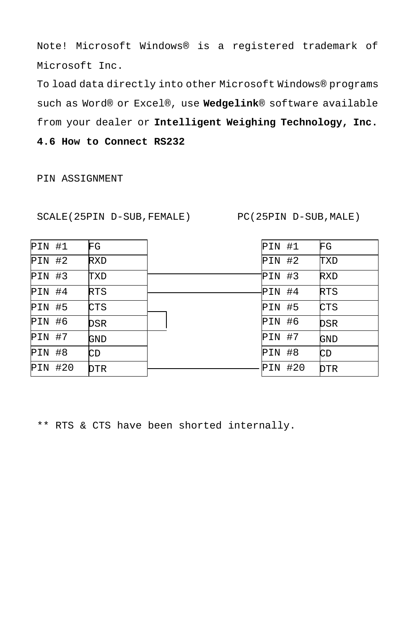Note! Microsoft Windows® is a registered trademark of Microsoft Inc.

To load data directly into other Microsoft Windows® programs such as Word® or Excel®, use **Wedgelink**® software available from your dealer or **Intelligent Weighing Technology, Inc. 4.6 How to Connect RS232**

PIN ASSIGNMENT

SCALE(25PIN D-SUB,FEMALE) PC(25PIN D-SUB,MALE)

| PIN #1        | FG  | PIN #1  | FG         |
|---------------|-----|---------|------------|
| $PIN$ #2      | RXD | PIN #2  | TXD        |
| <b>PIN #3</b> | TXD | PIN #3  | RXD        |
| $PIN$ #4      | RTS | PIN #4  | RTS        |
| <b>PIN #5</b> | CTS | PIN #5  | CTS        |
| $PIN$ #6      | DSR | PIN #6  | DSR        |
| PIN #7        | GND | PIN #7  | GND        |
| PIN #8        | CD  | PIN #8  | CD         |
| PIN #20       | DTR | PIN #20 | <b>DTR</b> |

\*\* RTS & CTS have been shorted internally.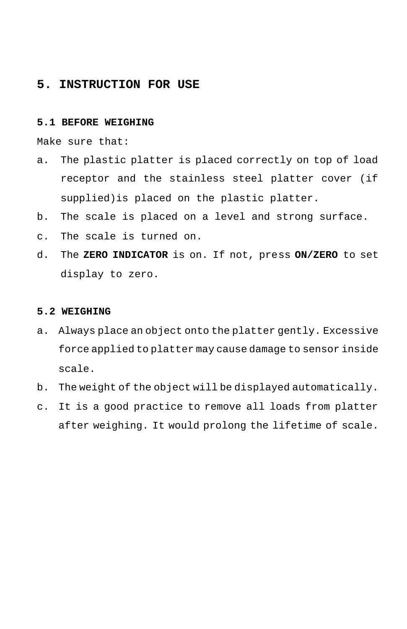## **5. INSTRUCTION FOR USE**

## **5.1 BEFORE WEIGHING**

Make sure that:

- a. The plastic platter is placed correctly on top of load receptor and the stainless steel platter cover (if supplied)is placed on the plastic platter.
- b. The scale is placed on a level and strong surface.
- c. The scale is turned on.
- d. The **ZERO INDICATOR** is on. If not, press **ON/ZERO** to set display to zero.

#### **5.2 WEIGHING**

- a. Always place an object onto the platter gently. Excessive force applied to platter may cause damage to sensor inside scale.
- b. The weight of the object will be displayed automatically.
- c. It is a good practice to remove all loads from platter after weighing. It would prolong the lifetime of scale.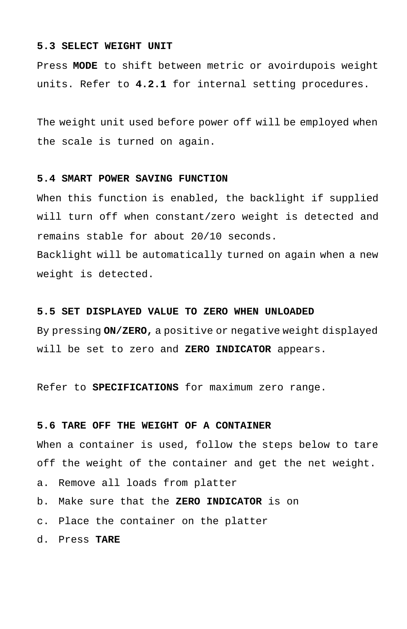#### **5.3 SELECT WEIGHT UNIT**

Press **MODE** to shift between metric or avoirdupois weight units. Refer to **4.2.1** for internal setting procedures.

The weight unit used before power off will be employed when the scale is turned on again.

#### **5.4 SMART POWER SAVING FUNCTION**

When this function is enabled, the backlight if supplied will turn off when constant/zero weight is detected and remains stable for about 20/10 seconds. Backlight will be automatically turned on again when a new weight is detected.

#### **5.5 SET DISPLAYED VALUE TO ZERO WHEN UNLOADED**

By pressing **ON/ZERO,** a positive or negative weight displayed will be set to zero and **ZERO INDICATOR** appears.

Refer to **SPECIFICATIONS** for maximum zero range.

#### **5.6 TARE OFF THE WEIGHT OF A CONTAINER**

When a container is used, follow the steps below to tare off the weight of the container and get the net weight.

a. Remove all loads from platter

- b. Make sure that the **ZERO INDICATOR** is on
- c. Place the container on the platter
- d. Press **TARE**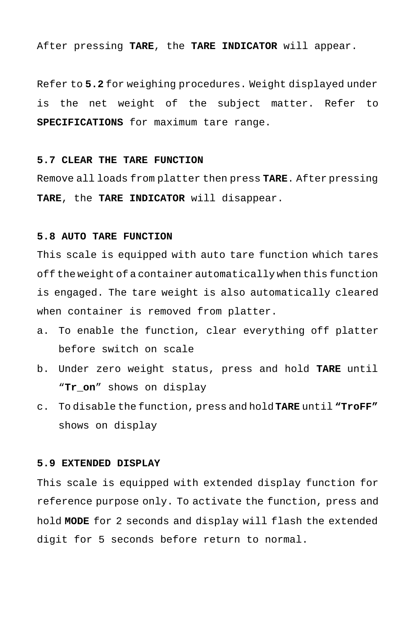After pressing **TARE**, the **TARE INDICATOR** will appear.

Refer to **5.2** for weighing procedures. Weight displayed under is the net weight of the subject matter. Refer to **SPECIFICATIONS** for maximum tare range.

#### **5.7 CLEAR THE TARE FUNCTION**

Remove all loads from platter then press **TARE**. After pressing **TARE**, the **TARE INDICATOR** will disappear.

## **5.8 AUTO TARE FUNCTION**

This scale is equipped with auto tare function which tares off the weight of a container automatically when this function is engaged. The tare weight is also automatically cleared when container is removed from platter.

- a. To enable the function, clear everything off platter before switch on scale
- b. Under zero weight status, press and hold **TARE** until "**Tr\_on**" shows on display
- c. To disable the function, press and hold **TARE** until **"TroFF"** shows on display

#### **5.9 EXTENDED DISPLAY**

This scale is equipped with extended display function for reference purpose only. To activate the function, press and hold **MODE** for 2 seconds and display will flash the extended digit for 5 seconds before return to normal.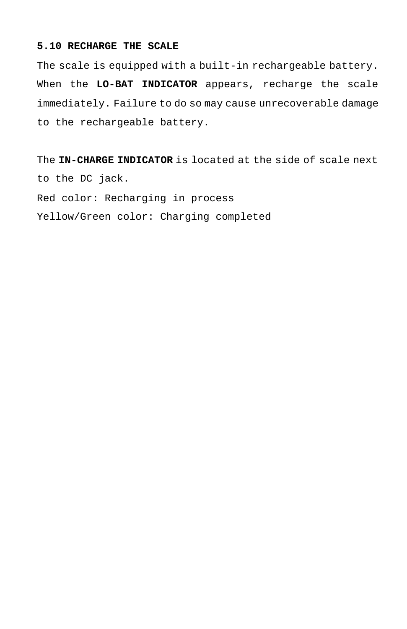## **5.10 RECHARGE THE SCALE**

The scale is equipped with a built-in rechargeable battery. When the **LO-BAT INDICATOR** appears, recharge the scale immediately. Failure to do so may cause unrecoverable damage to the rechargeable battery.

The **IN-CHARGE INDICATOR** is located at the side of scale next to the DC jack. Red color: Recharging in process Yellow/Green color: Charging completed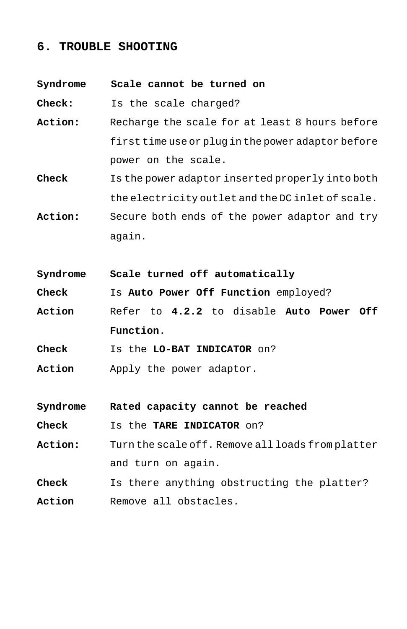# **6. TROUBLE SHOOTING**

| Syndrome | Scale cannot be turned on                          |  |  |  |
|----------|----------------------------------------------------|--|--|--|
| Check:   | Is the scale charged?                              |  |  |  |
| Action:  | Recharge the scale for at least 8 hours before     |  |  |  |
|          | first time use or plug in the power adaptor before |  |  |  |
|          | power on the scale.                                |  |  |  |
| Check    | Is the power adaptor inserted properly into both   |  |  |  |
|          | the electricity outlet and the DC inlet of scale.  |  |  |  |
| Action:  | Secure both ends of the power adaptor and try      |  |  |  |
|          | again.                                             |  |  |  |
|          |                                                    |  |  |  |
| Syndrome | Scale turned off automatically                     |  |  |  |
| Check    | Is Auto Power Off Function employed?               |  |  |  |
| Action   | Refer to 4.2.2 to disable Auto Power Off           |  |  |  |
|          | Function.                                          |  |  |  |
| Check    | Is the LO-BAT INDICATOR on?                        |  |  |  |
| Action   | Apply the power adaptor.                           |  |  |  |
|          |                                                    |  |  |  |
| Syndrome | Rated capacity cannot be reached                   |  |  |  |
| Check    | Is the <b>TARE INDICATOR</b> on?                   |  |  |  |
| Action:  | Turn the scale off. Remove all loads from platter  |  |  |  |
|          | and turn on again.                                 |  |  |  |
| Check    | Is there anything obstructing the platter?         |  |  |  |
| Action   | Remove all obstacles.                              |  |  |  |
|          |                                                    |  |  |  |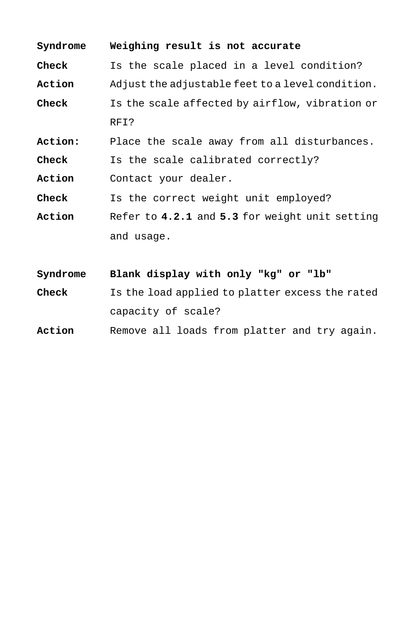| Syndrome | Weighing result is not accurate                  |  |  |  |  |
|----------|--------------------------------------------------|--|--|--|--|
| Check    | Is the scale placed in a level condition?        |  |  |  |  |
| Action   | Adjust the adjustable feet to a level condition. |  |  |  |  |
| Check    | Is the scale affected by airflow, vibration or   |  |  |  |  |
|          | RFI?                                             |  |  |  |  |
| Action:  | Place the scale away from all disturbances.      |  |  |  |  |
| Check    | Is the scale calibrated correctly?               |  |  |  |  |
| Action   | Contact your dealer.                             |  |  |  |  |
| Check    | Is the correct weight unit employed?             |  |  |  |  |
| Action   | Refer to 4.2.1 and 5.3 for weight unit setting   |  |  |  |  |
|          | and usage.                                       |  |  |  |  |
|          |                                                  |  |  |  |  |
| Syndrome | Blank display with only "kg" or "lb"             |  |  |  |  |
| Check    | Is the load applied to platter excess the rated  |  |  |  |  |
|          | capacity of scale?                               |  |  |  |  |
| Action   | Remove all loads from platter and try again.     |  |  |  |  |